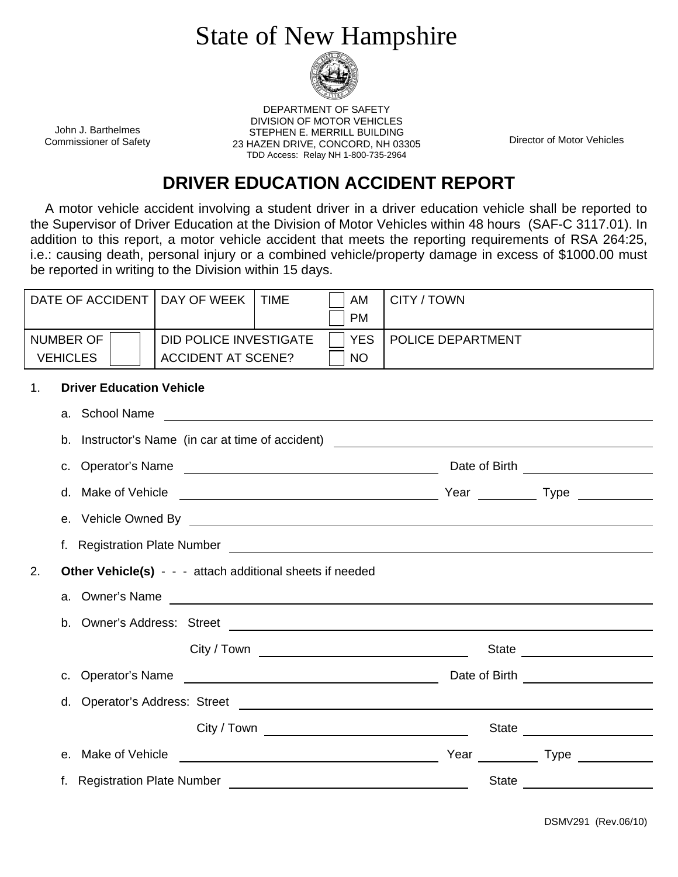## State of New Hampshire



John J. Barthelmes Commissioner of Safety

DEPARTMENT OF SAFETY DIVISION OF MOTOR VEHICLES STEPHEN E. MERRILL BUILDING 23 HAZEN DRIVE, CONCORD, NH 03305 TDD Access: Relay NH 1-800-735-2964

Director of Motor Vehicles

## **DRIVER EDUCATION ACCIDENT REPORT**

 A motor vehicle accident involving a student driver in a driver education vehicle shall be reported to the Supervisor of Driver Education at the Division of Motor Vehicles within 48 hours (SAF-C 3117.01). In addition to this report, a motor vehicle accident that meets the reporting requirements of RSA 264:25, i.e.: causing death, personal injury or a combined vehicle/property damage in excess of \$1000.00 must be reported in writing to the Division within 15 days.

| DATE OF ACCIDENT                                                | DAY OF WEEK<br><b>TIME</b>                                                                       | AM<br><b>PM</b> | CITY / TOWN       |  |  |  |
|-----------------------------------------------------------------|--------------------------------------------------------------------------------------------------|-----------------|-------------------|--|--|--|
| <b>NUMBER OF</b>                                                | <b>DID POLICE INVESTIGATE</b>                                                                    | <b>YES</b>      | POLICE DEPARTMENT |  |  |  |
| <b>VEHICLES</b>                                                 | <b>ACCIDENT AT SCENE?</b>                                                                        | NO              |                   |  |  |  |
| <b>Driver Education Vehicle</b><br>1.                           |                                                                                                  |                 |                   |  |  |  |
|                                                                 |                                                                                                  |                 |                   |  |  |  |
|                                                                 |                                                                                                  |                 |                   |  |  |  |
| Date of Birth ______________________                            |                                                                                                  |                 |                   |  |  |  |
|                                                                 |                                                                                                  |                 |                   |  |  |  |
|                                                                 |                                                                                                  |                 |                   |  |  |  |
|                                                                 |                                                                                                  |                 |                   |  |  |  |
| Other Vehicle(s) - - - attach additional sheets if needed<br>2. |                                                                                                  |                 |                   |  |  |  |
|                                                                 |                                                                                                  |                 |                   |  |  |  |
|                                                                 |                                                                                                  |                 |                   |  |  |  |
|                                                                 |                                                                                                  |                 |                   |  |  |  |
|                                                                 | c. Operator's Name example and the contract of Birth contract of Birth example and Date of Birth |                 |                   |  |  |  |
|                                                                 |                                                                                                  |                 |                   |  |  |  |
|                                                                 |                                                                                                  |                 |                   |  |  |  |
|                                                                 |                                                                                                  |                 |                   |  |  |  |
|                                                                 |                                                                                                  |                 |                   |  |  |  |